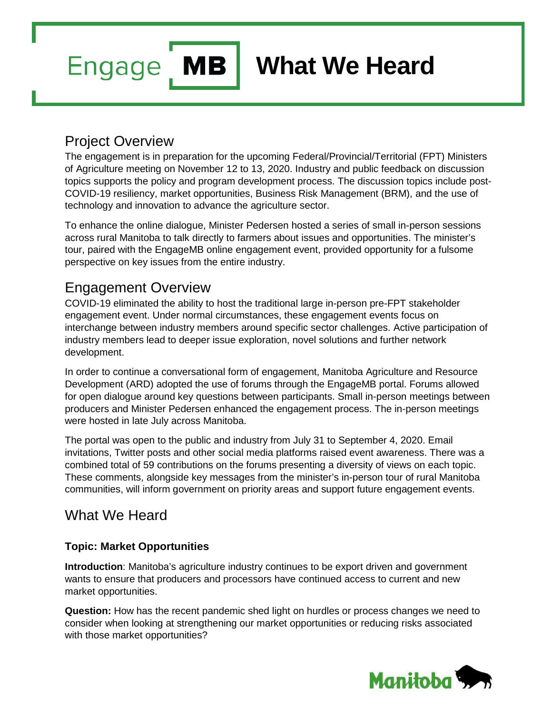# **What We Heard**

## Project Overview

**Engage** 

**MB** 

The engagement is in preparation for the upcoming Federal/Provincial/Territorial (FPT) Ministers of Agriculture meeting on November 12 to 13, 2020. Industry and public feedback on discussion topics supports the policy and program development process. The discussion topics include post-COVID-19 resiliency, market opportunities, Business Risk Management (BRM), and the use of technology and innovation to advance the agriculture sector.

To enhance the online dialogue, Minister Pedersen hosted a series of small in-person sessions across rural Manitoba to talk directly to farmers about issues and opportunities. The minister's tour, paired with the EngageMB online engagement event, provided opportunity for a fulsome perspective on key issues from the entire industry.

## Engagement Overview

COVID-19 eliminated the ability to host the traditional large in-person pre-FPT stakeholder engagement event. Under normal circumstances, these engagement events focus on interchange between industry members around specific sector challenges. Active participation of industry members lead to deeper issue exploration, novel solutions and further network development.

In order to continue a conversational form of engagement, Manitoba Agriculture and Resource Development (ARD) adopted the use of forums through the EngageMB portal. Forums allowed for open dialogue around key questions between participants. Small in-person meetings between producers and Minister Pedersen enhanced the engagement process. The in-person meetings were hosted in late July across Manitoba.

The portal was open to the public and industry from July 31 to September 4, 2020. Email invitations, Twitter posts and other social media platforms raised event awareness. There was a combined total of 59 contributions on the forums presenting a diversity of views on each topic. These comments, alongside key messages from the minister's in-person tour of rural Manitoba communities, will inform government on priority areas and support future engagement events.

## What We Heard

#### **Topic: Market Opportunities**

**Introduction**: Manitoba's agriculture industry continues to be export driven and government wants to ensure that producers and processors have continued access to current and new market opportunities.

**Question:** How has the recent pandemic shed light on hurdles or process changes we need to consider when looking at strengthening our market opportunities or reducing risks associated with those market opportunities?

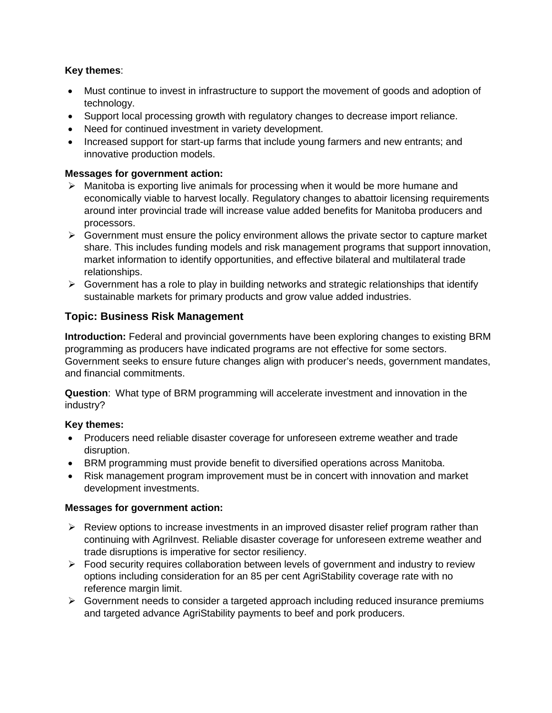#### **Key themes**:

- Must continue to invest in infrastructure to support the movement of goods and adoption of technology.
- Support local processing growth with regulatory changes to decrease import reliance.
- Need for continued investment in variety development.
- Increased support for start-up farms that include young farmers and new entrants; and innovative production models.

#### **Messages for government action:**

- $\triangleright$  Manitoba is exporting live animals for processing when it would be more humane and economically viable to harvest locally. Regulatory changes to abattoir licensing requirements around inter provincial trade will increase value added benefits for Manitoba producers and processors.
- $\triangleright$  Government must ensure the policy environment allows the private sector to capture market share. This includes funding models and risk management programs that support innovation, market information to identify opportunities, and effective bilateral and multilateral trade relationships.
- $\triangleright$  Government has a role to play in building networks and strategic relationships that identify sustainable markets for primary products and grow value added industries.

#### **Topic: Business Risk Management**

**Introduction:** Federal and provincial governments have been exploring changes to existing BRM programming as producers have indicated programs are not effective for some sectors. Government seeks to ensure future changes align with producer's needs, government mandates, and financial commitments.

**Question**: What type of BRM programming will accelerate investment and innovation in the industry?

#### **Key themes:**

- Producers need reliable disaster coverage for unforeseen extreme weather and trade disruption.
- BRM programming must provide benefit to diversified operations across Manitoba.
- Risk management program improvement must be in concert with innovation and market development investments.

#### **Messages for government action:**

- $\triangleright$  Review options to increase investments in an improved disaster relief program rather than continuing with AgriInvest. Reliable disaster coverage for unforeseen extreme weather and trade disruptions is imperative for sector resiliency.
- $\triangleright$  Food security requires collaboration between levels of government and industry to review options including consideration for an 85 per cent AgriStability coverage rate with no reference margin limit.
- $\triangleright$  Government needs to consider a targeted approach including reduced insurance premiums and targeted advance AgriStability payments to beef and pork producers.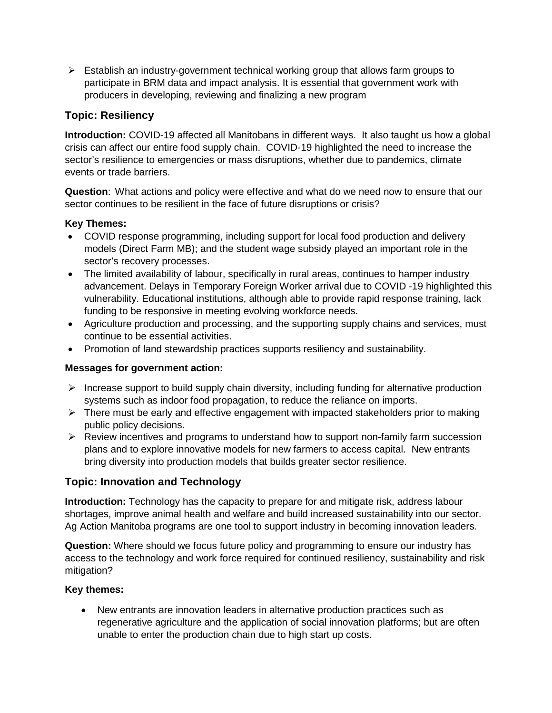$\triangleright$  Establish an industry-government technical working group that allows farm groups to participate in BRM data and impact analysis. It is essential that government work with producers in developing, reviewing and finalizing a new program

#### **Topic: Resiliency**

**Introduction:** COVID-19 affected all Manitobans in different ways. It also taught us how a global crisis can affect our entire food supply chain. COVID-19 highlighted the need to increase the sector's resilience to emergencies or mass disruptions, whether due to pandemics, climate events or trade barriers.

**Question**: What actions and policy were effective and what do we need now to ensure that our sector continues to be resilient in the face of future disruptions or crisis?

#### **Key Themes:**

- COVID response programming, including support for local food production and delivery models (Direct Farm MB); and the student wage subsidy played an important role in the sector's recovery processes.
- The limited availability of labour, specifically in rural areas, continues to hamper industry advancement. Delays in Temporary Foreign Worker arrival due to COVID -19 highlighted this vulnerability. Educational institutions, although able to provide rapid response training, lack funding to be responsive in meeting evolving workforce needs.
- Agriculture production and processing, and the supporting supply chains and services, must continue to be essential activities.
- Promotion of land stewardship practices supports resiliency and sustainability.

#### **Messages for government action:**

- $\triangleright$  Increase support to build supply chain diversity, including funding for alternative production systems such as indoor food propagation, to reduce the reliance on imports.
- $\triangleright$  There must be early and effective engagement with impacted stakeholders prior to making public policy decisions.
- $\triangleright$  Review incentives and programs to understand how to support non-family farm succession plans and to explore innovative models for new farmers to access capital. New entrants bring diversity into production models that builds greater sector resilience.

#### **Topic: Innovation and Technology**

**Introduction:** Technology has the capacity to prepare for and mitigate risk, address labour shortages, improve animal health and welfare and build increased sustainability into our sector. Ag Action Manitoba programs are one tool to support industry in becoming innovation leaders.

**Question:** Where should we focus future policy and programming to ensure our industry has access to the technology and work force required for continued resiliency, sustainability and risk mitigation?

#### **Key themes:**

• New entrants are innovation leaders in alternative production practices such as regenerative agriculture and the application of social innovation platforms; but are often unable to enter the production chain due to high start up costs.